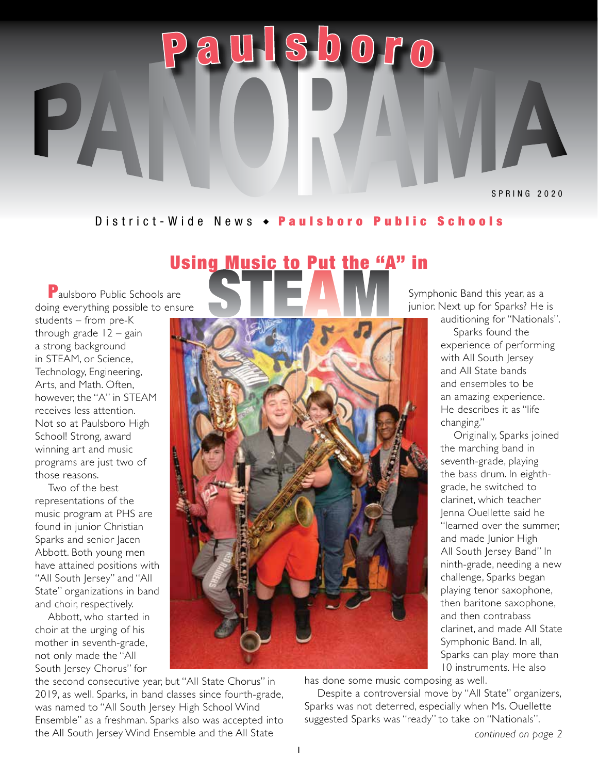#### District-Wide News  $\rightarrow$  Paulsboro Public Schools

<sup>a</sup> <sup>u</sup> l <sup>s</sup> b <sup>o</sup> <sup>r</sup> <sup>o</sup>

### Using Music to Put the "A" in

**P** aulshoro Public Schools are doing everything possible to ensure

Р

P

students – from pre-K through grade  $12 -$  gain a strong background in STEAM, or Science, Technology, Engineering, Arts, and Math. Often, however, the "A" in STEAM receives less attention. Not so at Paulsboro High School! Strong, award winning art and music programs are just two of those reasons.

Two of the best representations of the music program at PHS are found in junior Christian Sparks and senior Jacen Abbott. Both young men have attained positions with "All South Jersey" and "All State" organizations in band and choir, respectively.

Abbott, who started in choir at the urging of his mother in seventh-grade, not only made the "All South Jersey Chorus" for

the second consecutive year, but "All State Chorus" in 2019, as well. Sparks, in band classes since fourth-grade, was named to "All South Jersey High School Wind Ensemble" as a freshman. Sparks also was accepted into the All South Jersey Wind Ensemble and the All State

Symphonic Band this year, as a junior. Next up for Sparks? He is

auditioning for "Nationals". Sparks found the experience of performing with All South Jersey and All State bands and ensembles to be an amazing experience. He describes it as "life changing."

Originally, Sparks joined the marching band in seventh-grade, playing the bass drum. In eighthgrade, he switched to clarinet, which teacher Jenna Ouellette said he "learned over the summer, and made Junior High All South Jersey Band" In ninth-grade, needing a new challenge, Sparks began playing tenor saxophone, then baritone saxophone, and then contrabass clarinet, and made All State Symphonic Band. In all, Sparks can play more than 10 instruments. He also

has done some music composing as well.

Despite a controversial move by "All State" organizers, Sparks was not deterred, especially when Ms. Ouellette suggested Sparks was "ready" to take on "Nationals".

*continued on page 2*

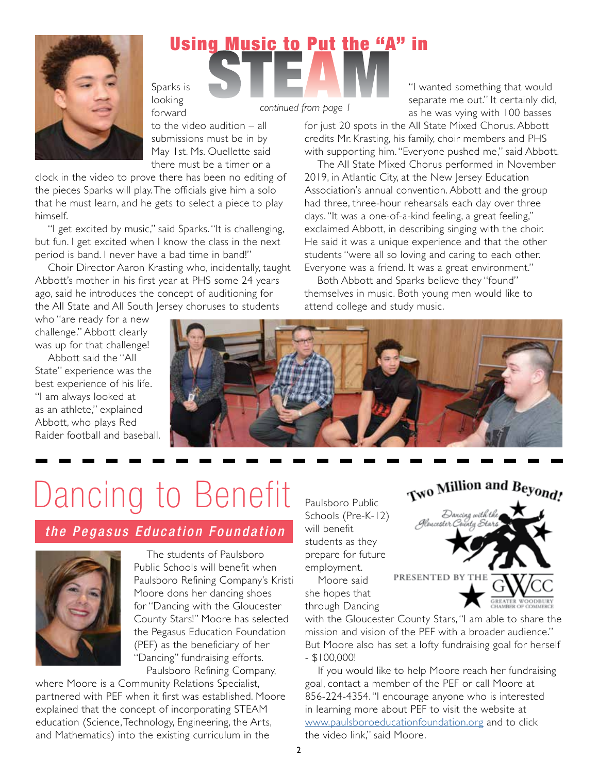

## Sparks is Using Music to Put the "A" in

looking forward

to the video audition – all submissions must be in by May 1st. Ms. Ouellette said there must be a timer or a

clock in the video to prove there has been no editing of the pieces Sparks will play. The officials give him a solo that he must learn, and he gets to select a piece to play himself.

"I get excited by music," said Sparks. "It is challenging, but fun. I get excited when I know the class in the next period is band. I never have a bad time in band!"

Choir Director Aaron Krasting who, incidentally, taught Abbott's mother in his first year at PHS some 24 years ago, said he introduces the concept of auditioning for the All State and All South Jersey choruses to students

*continued from page 1*

"I wanted something that would separate me out." It certainly did, as he was vying with 100 basses

for just 20 spots in the All State Mixed Chorus. Abbott credits Mr. Krasting, his family, choir members and PHS with supporting him. "Everyone pushed me," said Abbott.

The All State Mixed Chorus performed in November 2019, in Atlantic City, at the New Jersey Education Association's annual convention. Abbott and the group had three, three-hour rehearsals each day over three days. "It was a one-of-a-kind feeling, a great feeling," exclaimed Abbott, in describing singing with the choir. He said it was a unique experience and that the other students "were all so loving and caring to each other. Everyone was a friend. It was a great environment."

Both Abbott and Sparks believe they "found" themselves in music. Both young men would like to attend college and study music.

who "are ready for a new challenge." Abbott clearly was up for that challenge!

Abbott said the "All State" experience was the best experience of his life. "I am always looked at as an athlete," explained Abbott, who plays Red Raider football and baseball.



# Dancing to Benefit

#### *the Pegasus Education Foundation*



The students of Paulsboro Public Schools will benefit when Paulsboro Refining Company's Kristi Moore dons her dancing shoes for "Dancing with the Gloucester County Stars!" Moore has selected the Pegasus Education Foundation (PEF) as the beneficiary of her "Dancing" fundraising efforts. Paulsboro Refining Company,

where Moore is a Community Relations Specialist, partnered with PEF when it first was established. Moore explained that the concept of incorporating STEAM education (Science, Technology, Engineering, the Arts, and Mathematics) into the existing curriculum in the

Paulsboro Public Schools (Pre-K-12) will benefit students as they prepare for future employment.



Moore said she hopes that through Dancing

with the Gloucester County Stars, "I am able to share the mission and vision of the PEF with a broader audience." But Moore also has set a lofty fundraising goal for herself - \$100,000!

If you would like to help Moore reach her fundraising goal, contact a member of the PEF or call Moore at 856-224-4354. "I encourage anyone who is interested in learning more about PEF to visit the website at [www.paulsboroeducationfoundation.org](http://www.paulsboroeducationfoundation.org) and to click the video link," said Moore.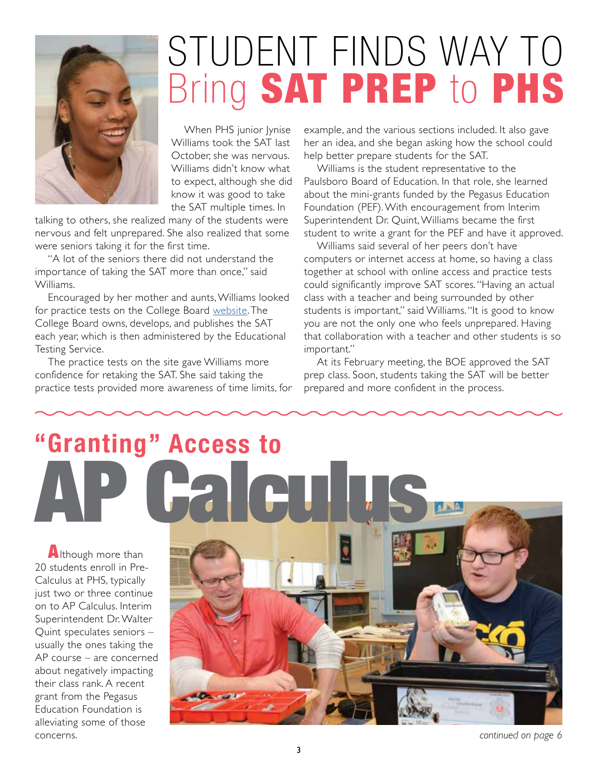

## STUDENT FINDS WAY TO Bring SAT PREP to PHS

When PHS junior Jynise Williams took the SAT last October, she was nervous. Williams didn't know what to expect, although she did know it was good to take the SAT multiple times. In

talking to others, she realized many of the students were nervous and felt unprepared. She also realized that some were seniors taking it for the first time.

"A lot of the seniors there did not understand the importance of taking the SAT more than once," said Williams.

Encouraged by her mother and aunts, Williams looked for practice tests on the College Board [website](https://collegereadiness.collegeboard.org/sat-subject-tests). The College Board owns, develops, and publishes the SAT each year, which is then administered by the Educational Testing Service.

The practice tests on the site gave Williams more confidence for retaking the SAT. She said taking the practice tests provided more awareness of time limits, for

example, and the various sections included. It also gave her an idea, and she began asking how the school could help better prepare students for the SAT.

Williams is the student representative to the Paulsboro Board of Education. In that role, she learned about the mini-grants funded by the Pegasus Education Foundation (PEF). With encouragement from Interim Superintendent Dr. Quint, Williams became the first student to write a grant for the PEF and have it approved.

Williams said several of her peers don't have computers or internet access at home, so having a class together at school with online access and practice tests could significantly improve SAT scores. "Having an actual class with a teacher and being surrounded by other students is important," said Williams. "It is good to know you are not the only one who feels unprepared. Having that collaboration with a teacher and other students is so important."

At its February meeting, the BOE approved the SAT prep class. Soon, students taking the SAT will be better prepared and more confident in the process.

# AP Calculus **"Granting" Access to**

Although more than 20 students enroll in Pre-Calculus at PHS, typically just two or three continue on to AP Calculus. Interim Superintendent Dr. Walter Quint speculates seniors – usually the ones taking the AP course – are concerned about negatively impacting their class rank. A recent grant from the Pegasus Education Foundation is alleviating some of those concerns.



*continued on page 6*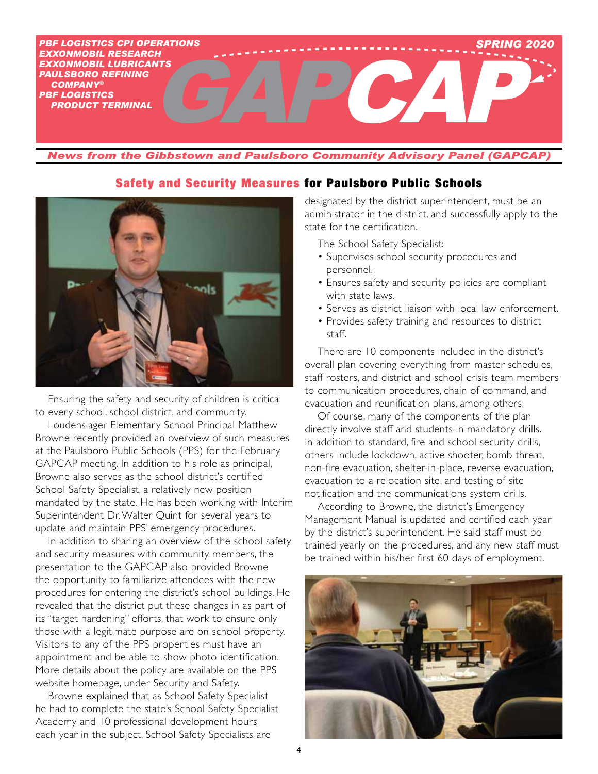

*News from the Gibbstown and Paulsboro Community Advisory Panel (GAPCAP)*

#### Safety and Security Measures for Paulsboro Public Schools



Ensuring the safety and security of children is critical to every school, school district, and community.

Loudenslager Elementary School Principal Matthew Browne recently provided an overview of such measures at the Paulsboro Public Schools (PPS) for the February GAPCAP meeting. In addition to his role as principal, Browne also serves as the school district's certified School Safety Specialist, a relatively new position mandated by the state. He has been working with Interim Superintendent Dr. Walter Quint for several years to update and maintain PPS' emergency procedures.

In addition to sharing an overview of the school safety and security measures with community members, the presentation to the GAPCAP also provided Browne the opportunity to familiarize attendees with the new procedures for entering the district's school buildings. He revealed that the district put these changes in as part of its "target hardening" efforts, that work to ensure only those with a legitimate purpose are on school property. Visitors to any of the PPS properties must have an appointment and be able to show photo identification. More details about the policy are available on the PPS website homepage, under Security and Safety.

Browne explained that as School Safety Specialist he had to complete the state's School Safety Specialist Academy and 10 professional development hours each year in the subject. School Safety Specialists are

designated by the district superintendent, must be an administrator in the district, and successfully apply to the state for the certification.

The School Safety Specialist:

- Supervises school security procedures and personnel.
- Ensures safety and security policies are compliant with state laws.
- Serves as district liaison with local law enforcement.
- Provides safety training and resources to district staff.

There are 10 components included in the district's overall plan covering everything from master schedules, staff rosters, and district and school crisis team members to communication procedures, chain of command, and evacuation and reunification plans, among others.

Of course, many of the components of the plan directly involve staff and students in mandatory drills. In addition to standard, fire and school security drills, others include lockdown, active shooter, bomb threat, non-fire evacuation, shelter-in-place, reverse evacuation, evacuation to a relocation site, and testing of site notification and the communications system drills.

According to Browne, the district's Emergency Management Manual is updated and certified each year by the district's superintendent. He said staff must be trained yearly on the procedures, and any new staff must be trained within his/her first 60 days of employment.

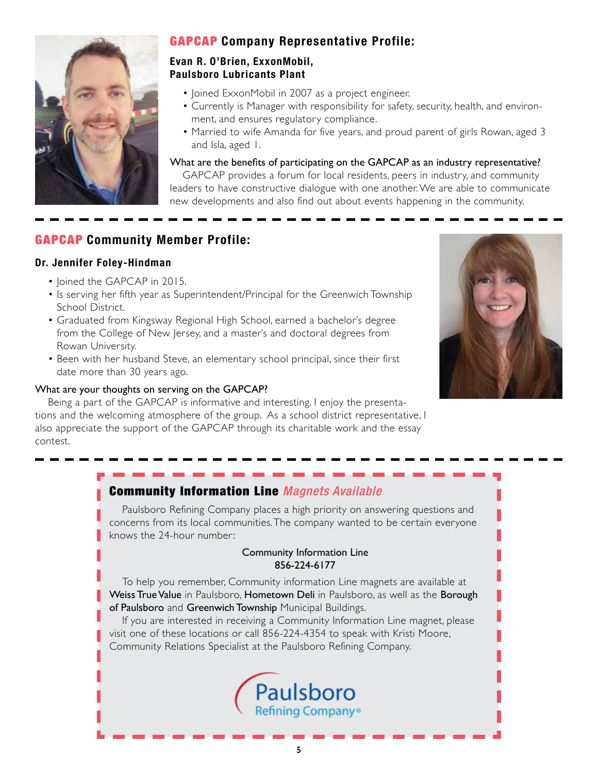

#### GAPCAP **Company Representative Profile:**

#### **Evan R. O'Brien, ExxonMobil, Paulsboro Lubricants Plant**

- Joined ExxonMobil in 2007 as a project engineer.
- Currently is Manager with responsibility for safety, security, health, and environment, and ensures regulatory compliance.
- Married to wife Amanda for five years, and proud parent of girls Rowan, aged 3 and Isla, aged 1.

What are the benefits of participating on the GAPCAP as an industry representative?

GAPCAP provides a forum for local residents, peers in industry, and community leaders to have constructive dialogue with one another. We are able to communicate new developments and also find out about events happening in the community.

#### GAPCAP **Community Member Profile:**

#### **Dr. Jennifer Foley-Hindman**

- Joined the GAPCAP in 2015.
- Is serving her fifth year as Superintendent/Principal for the Greenwich Township School District.
- Graduated from Kingsway Regional High School, earned a bachelor's degree from the College of New Jersey, and a master's and doctoral degrees from Rowan University.
- Been with her husband Steve, an elementary school principal, since their first date more than 30 years ago.

#### What are your thoughts on serving on the GAPCAP?

Being a part of the GAPCAP is informative and interesting. I enjoy the presentations and the welcoming atmosphere of the group. As a school district representative, I also appreciate the support of the GAPCAP through its charitable work and the essay contest.



#### Community Information Line *Magnets Available*

Paulsboro Refining Company places a high priority on answering questions and concerns from its local communities. The company wanted to be certain everyone knows the 24-hour number:

#### Community Information Line 856-224-6177

To help you remember, Community information Line magnets are available at Weiss True Value in Paulsboro, Hometown Deli in Paulsboro, as well as the Borough of Paulsboro and Greenwich Township Municipal Buildings.

If you are interested in receiving a Community Information Line magnet, please visit one of these locations or call 856-224-4354 to speak with Kristi Moore, Community Relations Specialist at the Paulsboro Refining Company.